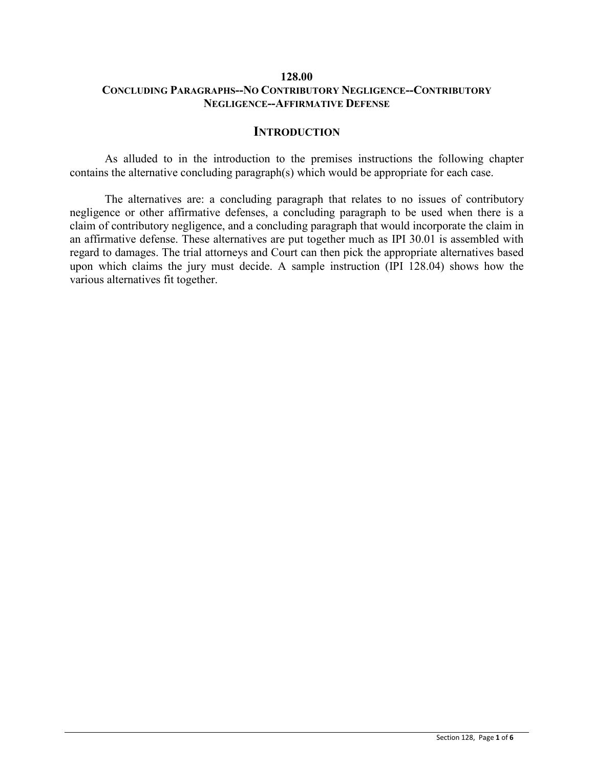# **128.00 CONCLUDING PARAGRAPHS--NO CONTRIBUTORY NEGLIGENCE--CONTRIBUTORY NEGLIGENCE--AFFIRMATIVE DEFENSE**

### **INTRODUCTION**

As alluded to in the introduction to the premises instructions the following chapter contains the alternative concluding paragraph(s) which would be appropriate for each case.

The alternatives are: a concluding paragraph that relates to no issues of contributory negligence or other affirmative defenses, a concluding paragraph to be used when there is a claim of contributory negligence, and a concluding paragraph that would incorporate the claim in an affirmative defense. These alternatives are put together much as IPI 30.01 is assembled with regard to damages. The trial attorneys and Court can then pick the appropriate alternatives based upon which claims the jury must decide. A sample instruction (IPI 128.04) shows how the various alternatives fit together.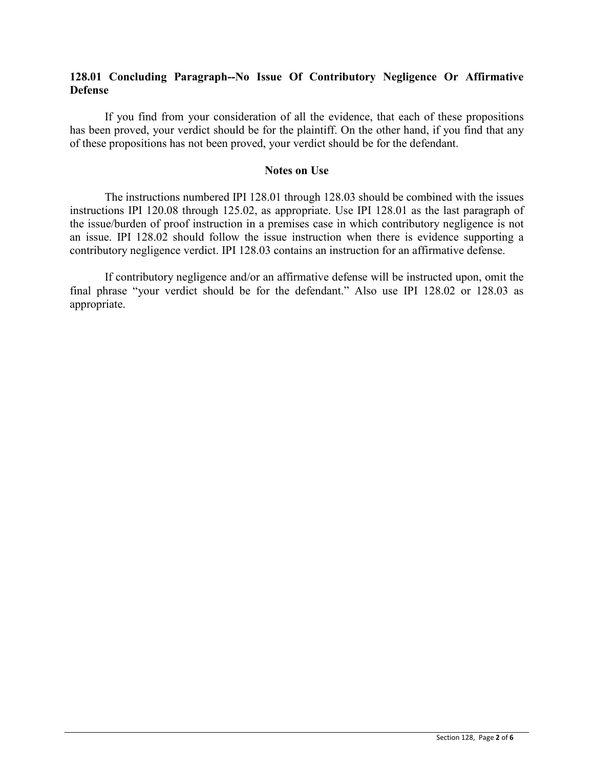# **128.01 Concluding Paragraph--No Issue Of Contributory Negligence Or Affirmative Defense**

If you find from your consideration of all the evidence, that each of these propositions has been proved, your verdict should be for the plaintiff. On the other hand, if you find that any of these propositions has not been proved, your verdict should be for the defendant.

### **Notes on Use**

The instructions numbered IPI 128.01 through 128.03 should be combined with the issues instructions IPI 120.08 through 125.02, as appropriate. Use IPI 128.01 as the last paragraph of the issue/burden of proof instruction in a premises case in which contributory negligence is not an issue. IPI 128.02 should follow the issue instruction when there is evidence supporting a contributory negligence verdict. IPI 128.03 contains an instruction for an affirmative defense.

If contributory negligence and/or an affirmative defense will be instructed upon, omit the final phrase "your verdict should be for the defendant." Also use IPI 128.02 or 128.03 as appropriate.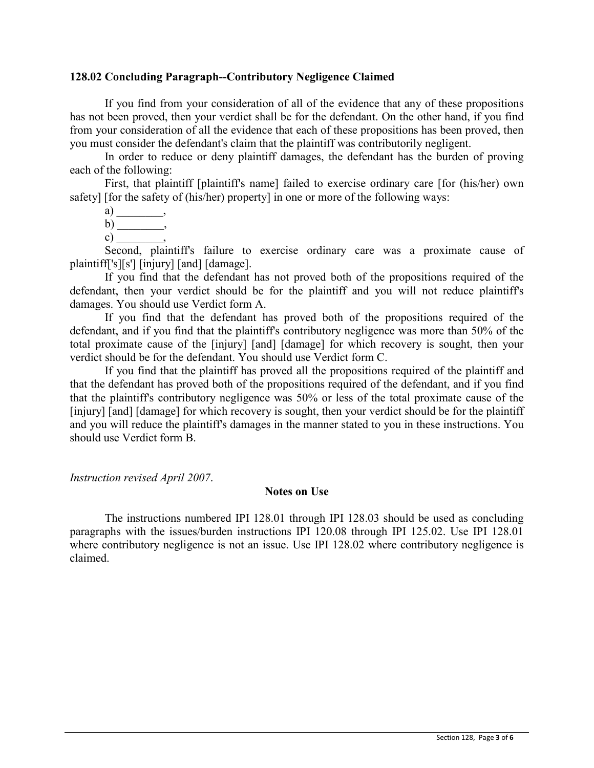### **128.02 Concluding Paragraph--Contributory Negligence Claimed**

If you find from your consideration of all of the evidence that any of these propositions has not been proved, then your verdict shall be for the defendant. On the other hand, if you find from your consideration of all the evidence that each of these propositions has been proved, then you must consider the defendant's claim that the plaintiff was contributorily negligent.

In order to reduce or deny plaintiff damages, the defendant has the burden of proving each of the following:

First, that plaintiff [plaintiff's name] failed to exercise ordinary care [for (his/her) own safety] [for the safety of (his/her) property] in one or more of the following ways:

a) \_\_\_\_\_\_\_\_\_\_\_\_\_\_, b) \_\_\_\_\_\_\_\_, c)  $\qquad \qquad$ 

Second, plaintiff's failure to exercise ordinary care was a proximate cause of plaintiff['s][s'] [injury] [and] [damage].

If you find that the defendant has not proved both of the propositions required of the defendant, then your verdict should be for the plaintiff and you will not reduce plaintiff's damages. You should use Verdict form A.

If you find that the defendant has proved both of the propositions required of the defendant, and if you find that the plaintiff's contributory negligence was more than 50% of the total proximate cause of the [injury] [and] [damage] for which recovery is sought, then your verdict should be for the defendant. You should use Verdict form C.

If you find that the plaintiff has proved all the propositions required of the plaintiff and that the defendant has proved both of the propositions required of the defendant, and if you find that the plaintiff's contributory negligence was 50% or less of the total proximate cause of the [injury] [and] [damage] for which recovery is sought, then your verdict should be for the plaintiff and you will reduce the plaintiff's damages in the manner stated to you in these instructions. You should use Verdict form B.

*Instruction revised April 2007*.

### **Notes on Use**

The instructions numbered IPI 128.01 through IPI 128.03 should be used as concluding paragraphs with the issues/burden instructions IPI 120.08 through IPI 125.02. Use IPI 128.01 where contributory negligence is not an issue. Use IPI 128.02 where contributory negligence is claimed.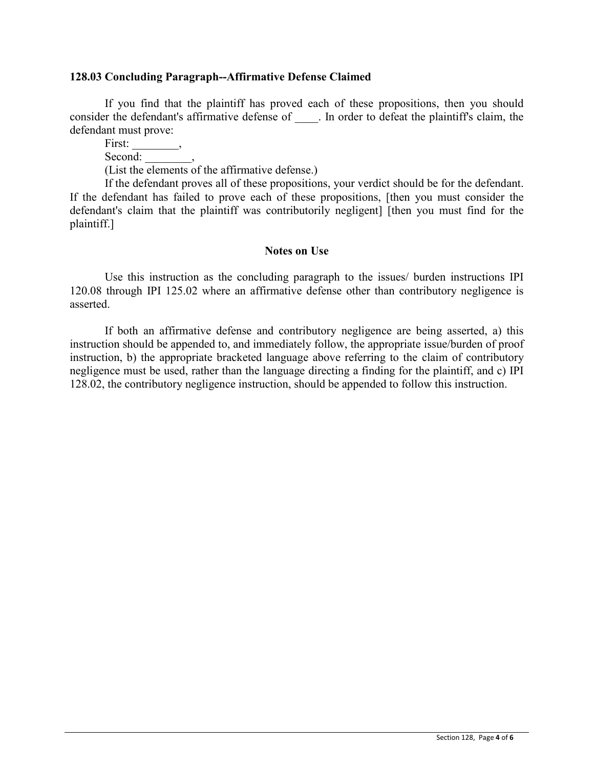### **128.03 Concluding Paragraph--Affirmative Defense Claimed**

If you find that the plaintiff has proved each of these propositions, then you should consider the defendant's affirmative defense of  $\Box$ . In order to defeat the plaintiff's claim, the defendant must prove:

First: Second:

(List the elements of the affirmative defense.)

If the defendant proves all of these propositions, your verdict should be for the defendant. If the defendant has failed to prove each of these propositions, [then you must consider the defendant's claim that the plaintiff was contributorily negligent] [then you must find for the plaintiff.]

#### **Notes on Use**

Use this instruction as the concluding paragraph to the issues/ burden instructions IPI 120.08 through IPI 125.02 where an affirmative defense other than contributory negligence is asserted.

If both an affirmative defense and contributory negligence are being asserted, a) this instruction should be appended to, and immediately follow, the appropriate issue/burden of proof instruction, b) the appropriate bracketed language above referring to the claim of contributory negligence must be used, rather than the language directing a finding for the plaintiff, and c) IPI 128.02, the contributory negligence instruction, should be appended to follow this instruction.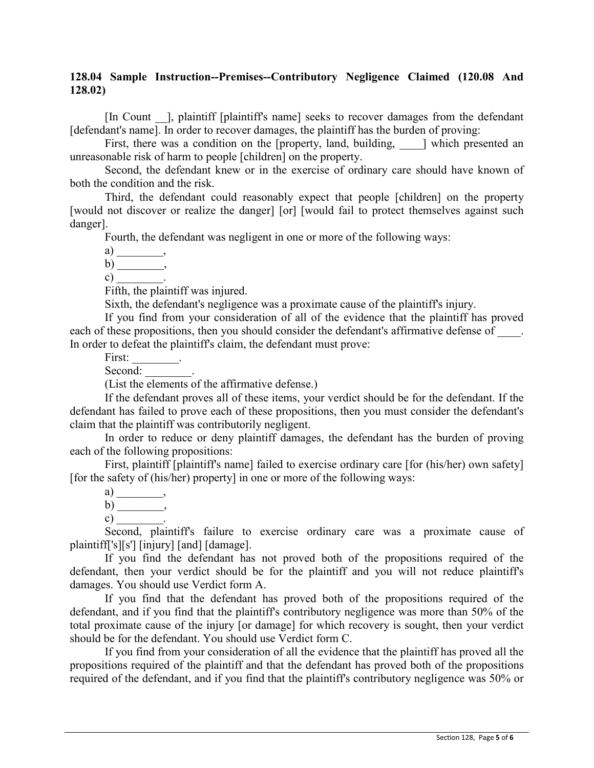# **128.04 Sample Instruction--Premises--Contributory Negligence Claimed (120.08 And 128.02)**

[In Count |, plaintiff [plaintiff's name] seeks to recover damages from the defendant [defendant's name]. In order to recover damages, the plaintiff has the burden of proving:

First, there was a condition on the [property, land, building,  $\Box$ ] which presented an unreasonable risk of harm to people [children] on the property.

Second, the defendant knew or in the exercise of ordinary care should have known of both the condition and the risk.

Third, the defendant could reasonably expect that people [children] on the property [would not discover or realize the danger] [or] [would fail to protect themselves against such danger].

Fourth, the defendant was negligent in one or more of the following ways:

 $a)$ 

b) \_\_\_\_\_\_\_\_,

c)  $\qquad \qquad$ 

Fifth, the plaintiff was injured.

Sixth, the defendant's negligence was a proximate cause of the plaintiff's injury.

If you find from your consideration of all of the evidence that the plaintiff has proved each of these propositions, then you should consider the defendant's affirmative defense of  $\qquad$ . In order to defeat the plaintiff's claim, the defendant must prove:

First:

Second:

(List the elements of the affirmative defense.)

If the defendant proves all of these items, your verdict should be for the defendant. If the defendant has failed to prove each of these propositions, then you must consider the defendant's claim that the plaintiff was contributorily negligent.

In order to reduce or deny plaintiff damages, the defendant has the burden of proving each of the following propositions:

First, plaintiff [plaintiff's name] failed to exercise ordinary care [for (his/her) own safety] [for the safety of (his/her) property] in one or more of the following ways:

a) \_\_\_\_\_\_\_\_\_\_\_\_\_\_\_, b) \_\_\_\_\_\_\_\_,

 $c)$ 

Second, plaintiff's failure to exercise ordinary care was a proximate cause of plaintiff['s][s'] [injury] [and] [damage].

If you find the defendant has not proved both of the propositions required of the defendant, then your verdict should be for the plaintiff and you will not reduce plaintiff's damages. You should use Verdict form A.

If you find that the defendant has proved both of the propositions required of the defendant, and if you find that the plaintiff's contributory negligence was more than 50% of the total proximate cause of the injury [or damage] for which recovery is sought, then your verdict should be for the defendant. You should use Verdict form C.

If you find from your consideration of all the evidence that the plaintiff has proved all the propositions required of the plaintiff and that the defendant has proved both of the propositions required of the defendant, and if you find that the plaintiff's contributory negligence was 50% or